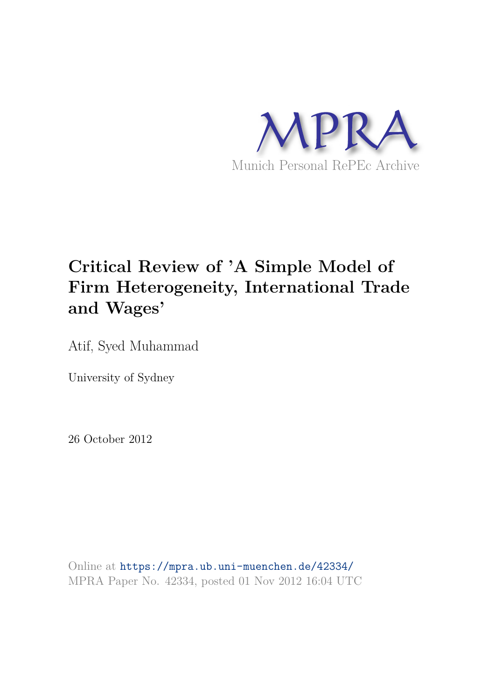

# **Critical Review of 'A Simple Model of Firm Heterogeneity, International Trade and Wages'**

Atif, Syed Muhammad

University of Sydney

26 October 2012

Online at https://mpra.ub.uni-muenchen.de/42334/ MPRA Paper No. 42334, posted 01 Nov 2012 16:04 UTC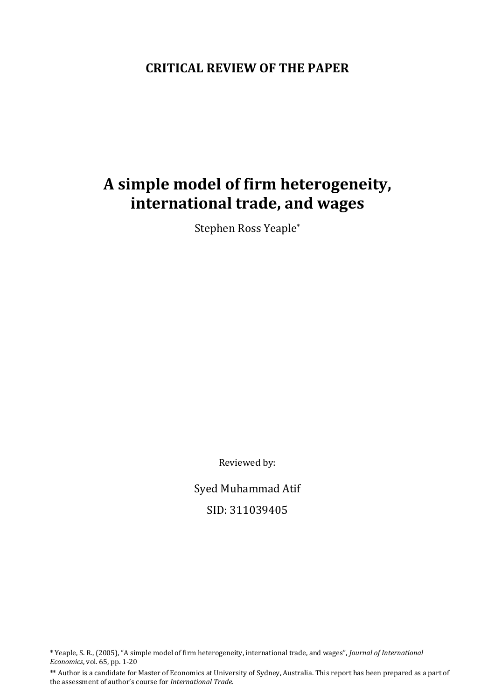## **CRITICAL REVIEW OF THE PAPER**

## **A simple model of firm heterogeneity, international trade, and wages**

Stephen Ross Yeaple\*

Reviewed by:

Syed Muhammad Atif SID: 311039405

\* Yeaple, S. R., (2005), "A simple model of firm heterogeneity, international trade, and wages", *Journal of International Economics*, vol. 65, pp. 1-20

\*\* Author is a candidate for Master of Economics at University of Sydney, Australia. This report has been prepared as a part of the assessment of author's course for *International Trade.*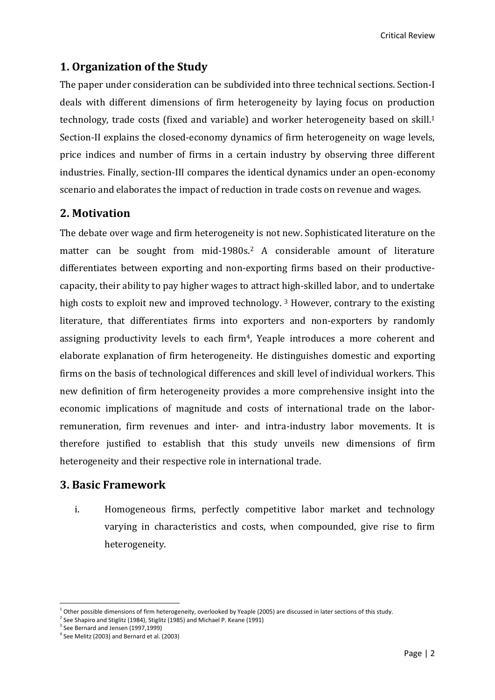## **1. Organization of the Study**

The paper under consideration can be subdivided into three technical sections. Section-I deals with different dimensions of firm heterogeneity by laying focus on production technology, trade costs (fixed and variable) and worker heterogeneity based on skill.<sup>1</sup> Section-II explains the closed-economy dynamics of firm heterogeneity on wage levels, price indices and number of firms in a certain industry by observing three different industries. Finally, section-III compares the identical dynamics under an open-economy scenario and elaborates the impact of reduction in trade costs on revenue and wages.

#### **2. Motivation**

The debate over wage and firm heterogeneity is not new. Sophisticated literature on the matter can be sought from mid-1980s.<sup>2</sup> A considerable amount of literature differentiates between exporting and non-exporting firms based on their productivecapacity, their ability to pay higher wages to attract high-skilled labor, and to undertake high costs to exploit new and improved technology.<sup>3</sup> However, contrary to the existing literature, that differentiates firms into exporters and non-exporters by randomly assigning productivity levels to each firm<sup>4</sup>, Yeaple introduces a more coherent and elaborate explanation of firm heterogeneity. He distinguishes domestic and exporting firms on the basis of technological differences and skill level of individual workers. This new definition of firm heterogeneity provides a more comprehensive insight into the economic implications of magnitude and costs of international trade on the laborremuneration, firm revenues and inter- and intra-industry labor movements. It is therefore justified to establish that this study unveils new dimensions of firm heterogeneity and their respective role in international trade.

#### **3. Basic Framework**

i. Homogeneous firms, perfectly competitive labor market and technology varying in characteristics and costs, when compounded, give rise to firm heterogeneity.

<sup>&</sup>lt;sup>1</sup> Other possible dimensions of firm heterogeneity, overlooked by Yeaple (2005) are discussed in later sections of this study.

 $2$  See Shapiro and Stiglitz (1984), Stiglitz (1985) and Michael P. Keane (1991)

<sup>&</sup>lt;sup>3</sup> See Bernard and Jensen (1997,1999)

<sup>4</sup> See Melitz (2003) and Bernard et al. (2003)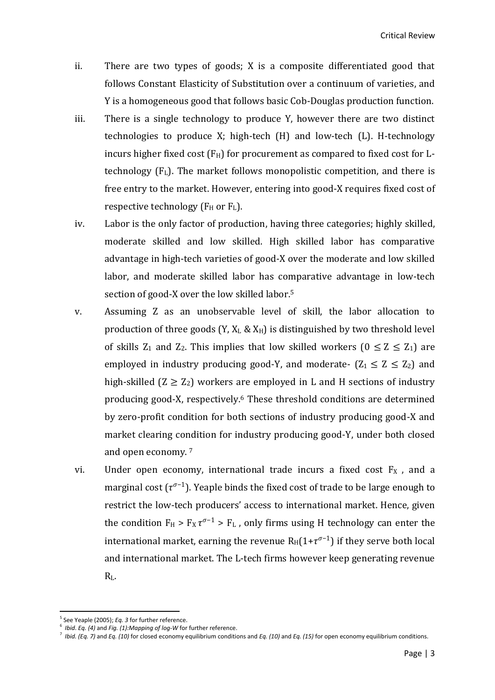- ii. There are two types of goods; X is a composite differentiated good that follows Constant Elasticity of Substitution over a continuum of varieties, and Y is a homogeneous good that follows basic Cob-Douglas production function.
- iii. There is a single technology to produce Y, however there are two distinct technologies to produce X; high-tech (H) and low-tech (L). H-technology incurs higher fixed cost  $(F_H)$  for procurement as compared to fixed cost for Ltechnology  $(F<sub>L</sub>)$ . The market follows monopolistic competition, and there is free entry to the market. However, entering into good-X requires fixed cost of respective technology ( $F_H$  or  $F_L$ ).
- iv. Labor is the only factor of production, having three categories; highly skilled, moderate skilled and low skilled. High skilled labor has comparative advantage in high-tech varieties of good-X over the moderate and low skilled labor, and moderate skilled labor has comparative advantage in low-tech section of good-X over the low skilled labor.<sup>5</sup>
- v. Assuming Z as an unobservable level of skill, the labor allocation to production of three goods  $(Y, X_L \& X_H)$  is distinguished by two threshold level of skills  $Z_1$  and  $Z_2$ . This implies that low skilled workers  $(0 \le Z \le Z_1)$  are employed in industry producing good-Y, and moderate-  $(Z_1 \le Z \le Z_2)$  and high-skilled  $(Z \ge Z_2)$  workers are employed in L and H sections of industry producing good-X, respectively.6 These threshold conditions are determined by zero-profit condition for both sections of industry producing good-X and market clearing condition for industry producing good-Y, under both closed and open economy. 7
- vi. Under open economy, international trade incurs a fixed cost  $F_X$ , and a marginal cost  $(\tau^{\sigma-1})$ . Yeaple binds the fixed cost of trade to be large enough to restrict the low-tech producers' access to international market. Hence, given the condition  $F_H > F_X \tau^{\sigma-1} > F_L$ , only firms using H technology can enter the international market, earning the revenue  $R_H(1+\tau^{\sigma-1})$  if they serve both local and international market. The L-tech firms however keep generating revenue RL.

<sup>&</sup>lt;sup>5</sup> See Yeaple (2005); *Eq. 3* for further reference.

<sup>6</sup> *Ibid*. *Eq. (4)* and *Fig. (1):Mapping of log-W* for further reference.

<sup>7</sup> *Ibid. (Eq. 7)* and *Eq. (10)* for closed economy equilibrium conditions and *Eq. (10)* and *Eq. (15)* for open economy equilibrium conditions.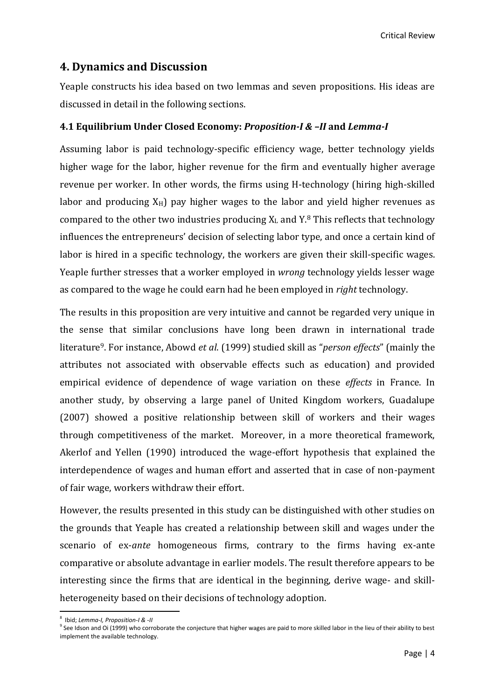Critical Review

#### **4. Dynamics and Discussion**

Yeaple constructs his idea based on two lemmas and seven propositions. His ideas are discussed in detail in the following sections.

#### **4.1 Equilibrium Under Closed Economy:** *Proposition-I & –II* **and** *Lemma-I*

Assuming labor is paid technology-specific efficiency wage, better technology yields higher wage for the labor, higher revenue for the firm and eventually higher average revenue per worker. In other words, the firms using H-technology (hiring high-skilled labor and producing  $X_H$ ) pay higher wages to the labor and yield higher revenues as compared to the other two industries producing  $X_L$  and  $Y.8$  This reflects that technology influences the entrepreneurs' decision of selecting labor type, and once a certain kind of labor is hired in a specific technology, the workers are given their skill-specific wages. Yeaple further stresses that a worker employed in *wrong* technology yields lesser wage as compared to the wage he could earn had he been employed in *right* technology.

The results in this proposition are very intuitive and cannot be regarded very unique in the sense that similar conclusions have long been drawn in international trade literature9. For instance, Abowd *et al*. (1999) studied skill as "*person effects*" (mainly the attributes not associated with observable effects such as education) and provided empirical evidence of dependence of wage variation on these *effects* in France. In another study, by observing a large panel of United Kingdom workers, Guadalupe (2007) showed a positive relationship between skill of workers and their wages through competitiveness of the market. Moreover, in a more theoretical framework, Akerlof and Yellen (1990) introduced the wage-effort hypothesis that explained the interdependence of wages and human effort and asserted that in case of non-payment of fair wage, workers withdraw their effort.

However, the results presented in this study can be distinguished with other studies on the grounds that Yeaple has created a relationship between skill and wages under the scenario of ex-*ante* homogeneous firms, contrary to the firms having ex-ante comparative or absolute advantage in earlier models. The result therefore appears to be interesting since the firms that are identical in the beginning, derive wage- and skillheterogeneity based on their decisions of technology adoption.

<sup>8</sup> Ibid; *Lemma-I, Proposition-I & -II*

<sup>&</sup>lt;sup>9</sup> See Idson and Oi (1999) who corroborate the conjecture that higher wages are paid to more skilled labor in the lieu of their ability to best implement the available technology.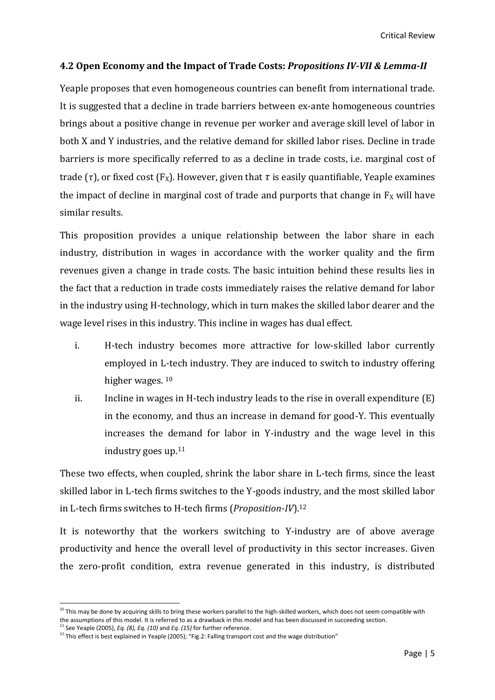#### **4.2 Open Economy and the Impact of Trade Costs:** *Propositions IV-VII & Lemma-II*

Yeaple proposes that even homogeneous countries can benefit from international trade. It is suggested that a decline in trade barriers between ex-ante homogeneous countries brings about a positive change in revenue per worker and average skill level of labor in both X and Y industries, and the relative demand for skilled labor rises. Decline in trade barriers is more specifically referred to as a decline in trade costs, i.e. marginal cost of trade ( $\tau$ ), or fixed cost (F<sub>X</sub>). However, given that  $\tau$  is easily quantifiable, Yeaple examines the impact of decline in marginal cost of trade and purports that change in  $F_X$  will have similar results.

This proposition provides a unique relationship between the labor share in each industry, distribution in wages in accordance with the worker quality and the firm revenues given a change in trade costs. The basic intuition behind these results lies in the fact that a reduction in trade costs immediately raises the relative demand for labor in the industry using H-technology, which in turn makes the skilled labor dearer and the wage level rises in this industry. This incline in wages has dual effect.

- i. H-tech industry becomes more attractive for low-skilled labor currently employed in L-tech industry. They are induced to switch to industry offering higher wages. <sup>10</sup>
- ii. Incline in wages in H-tech industry leads to the rise in overall expenditure  $(E)$ in the economy, and thus an increase in demand for good-Y. This eventually increases the demand for labor in Y-industry and the wage level in this industry goes up.<sup>11</sup>

These two effects, when coupled, shrink the labor share in L-tech firms, since the least skilled labor in L-tech firms switches to the Y-goods industry, and the most skilled labor in L-tech firms switches to H-tech firms (*Proposition-IV*).<sup>12</sup>

It is noteworthy that the workers switching to Y-industry are of above average productivity and hence the overall level of productivity in this sector increases. Given the zero-profit condition, extra revenue generated in this industry, is distributed

 $10$  This may be done by acquiring skills to bring these workers parallel to the high-skilled workers, which does not seem compatible with the assumptions of this model. It is referred to as a drawback in this model and has been discussed in succeeding section.

<sup>11</sup> See Yeaple (2005), *Eq. (8), Eq. (10)* and *Eq. (15)* for further reference.

 $12$  This effect is best explained in Yeaple (2005); "Fig.2: Falling transport cost and the wage distribution"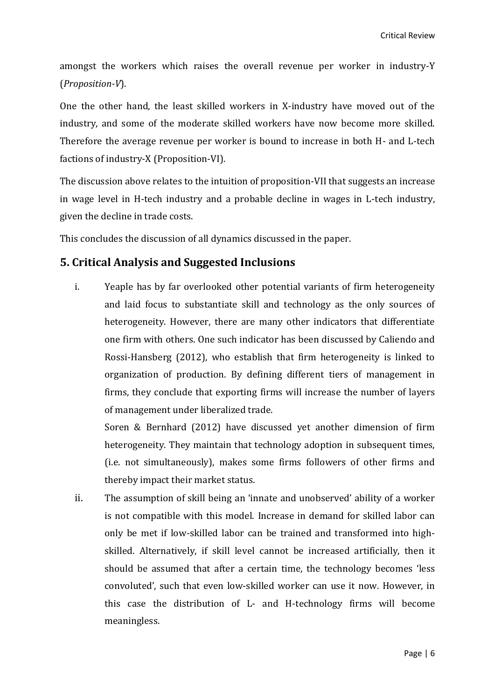amongst the workers which raises the overall revenue per worker in industry-Y (*Proposition-V*).

One the other hand, the least skilled workers in X-industry have moved out of the industry, and some of the moderate skilled workers have now become more skilled. Therefore the average revenue per worker is bound to increase in both H- and L-tech factions of industry-X (Proposition-VI).

The discussion above relates to the intuition of proposition-VII that suggests an increase in wage level in H-tech industry and a probable decline in wages in L-tech industry, given the decline in trade costs.

This concludes the discussion of all dynamics discussed in the paper.

#### **5. Critical Analysis and Suggested Inclusions**

i. Yeaple has by far overlooked other potential variants of firm heterogeneity and laid focus to substantiate skill and technology as the only sources of heterogeneity. However, there are many other indicators that differentiate one firm with others. One such indicator has been discussed by Caliendo and Rossi-Hansberg (2012), who establish that firm heterogeneity is linked to organization of production. By defining different tiers of management in firms, they conclude that exporting firms will increase the number of layers of management under liberalized trade.

Soren & Bernhard (2012) have discussed yet another dimension of firm heterogeneity. They maintain that technology adoption in subsequent times, (i.e. not simultaneously), makes some firms followers of other firms and thereby impact their market status.

ii. The assumption of skill being an 'innate and unobserved' ability of a worker is not compatible with this model. Increase in demand for skilled labor can only be met if low-skilled labor can be trained and transformed into highskilled. Alternatively, if skill level cannot be increased artificially, then it should be assumed that after a certain time, the technology becomes 'less convoluted', such that even low-skilled worker can use it now. However, in this case the distribution of L- and H-technology firms will become meaningless.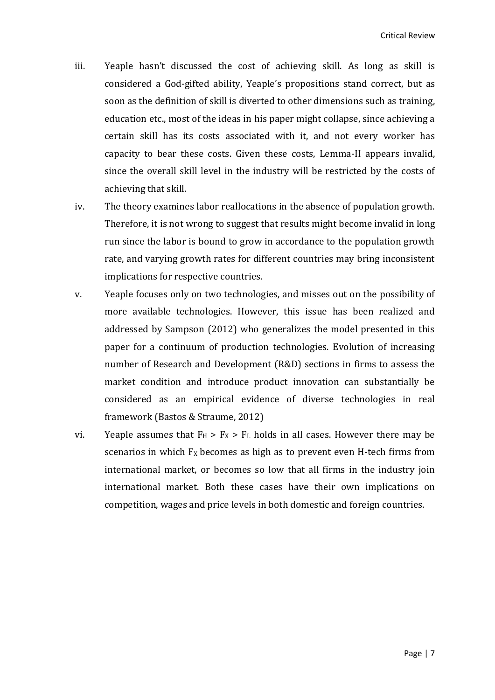- iii. Yeaple hasn't discussed the cost of achieving skill. As long as skill is considered a God-gifted ability, Yeaple's propositions stand correct, but as soon as the definition of skill is diverted to other dimensions such as training, education etc., most of the ideas in his paper might collapse, since achieving a certain skill has its costs associated with it, and not every worker has capacity to bear these costs. Given these costs, Lemma-II appears invalid, since the overall skill level in the industry will be restricted by the costs of achieving that skill.
- iv. The theory examines labor reallocations in the absence of population growth. Therefore, it is not wrong to suggest that results might become invalid in long run since the labor is bound to grow in accordance to the population growth rate, and varying growth rates for different countries may bring inconsistent implications for respective countries.
- v. Yeaple focuses only on two technologies, and misses out on the possibility of more available technologies. However, this issue has been realized and addressed by Sampson (2012) who generalizes the model presented in this paper for a continuum of production technologies. Evolution of increasing number of Research and Development (R&D) sections in firms to assess the market condition and introduce product innovation can substantially be considered as an empirical evidence of diverse technologies in real framework (Bastos & Straume, 2012)
- vi. Yeaple assumes that  $F_H > F_X > F_L$  holds in all cases. However there may be scenarios in which  $F_X$  becomes as high as to prevent even H-tech firms from international market, or becomes so low that all firms in the industry join international market. Both these cases have their own implications on competition, wages and price levels in both domestic and foreign countries.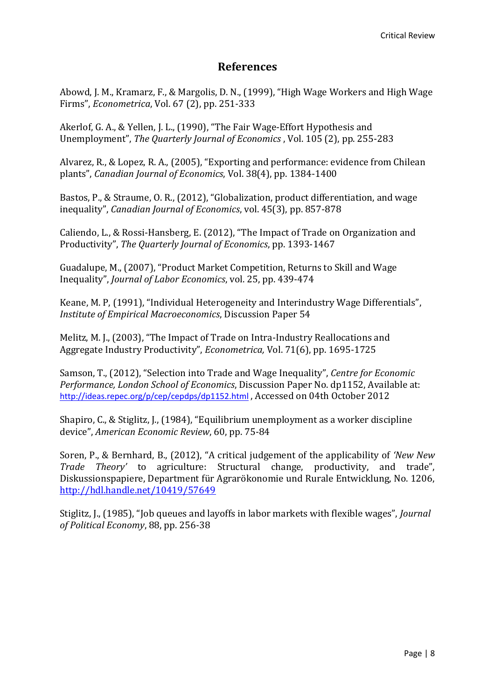### **References**

Abowd, J. M., Kramarz, F., & Margolis, D. N., (1999), "High Wage Workers and High Wage Firms", *Econometrica*, Vol. 67 (2), pp. 251-333

Akerlof, G. A., & Yellen, J. L., (1990), "The Fair Wage-Effort Hypothesis and Unemployment", *The Quarterly Journal of Economics* , Vol. 105 (2), pp. 255-283

Alvarez, R., & Lopez, R. A., (2005), "Exporting and performance: evidence from Chilean plants", *Canadian Journal of Economics*, Vol. 38(4), pp. 1384-1400

Bastos, P., & Straume, O. R., (2012), "Globalization, product differentiation, and wage inequality", *Canadian Journal of Economics*, vol. 45(3), pp. 857-878

Caliendo, L., & Rossi-Hansberg, E. (2012), "The Impact of Trade on Organization and Productivity", *The Quarterly Journal of Economics*, pp. 1393-1467

Guadalupe, M., (2007), "Product Market Competition, Returns to Skill and Wage Inequality", *Journal of Labor Economics*, vol. 25, pp. 439-474

Keane, M. P, (1991), "Individual Heterogeneity and Interindustry Wage Differentials", *Institute of Empirical Macroeconomics*, Discussion Paper 54

Melitz, M. J., (2003), "The Impact of Trade on Intra-Industry Reallocations and Aggregate Industry Productivity", *Econometrica,* Vol. 71(6), pp. 1695-1725

Samson, T., (2012), "Selection into Trade and Wage Inequality", *Centre for Economic Performance, London School of Economics*, Discussion Paper No. dp1152, Available at: <http://ideas.repec.org/p/cep/cepdps/dp1152.html> , Accessed on 04th October 2012

Shapiro, C., & Stiglitz, J., (1984), "Equilibrium unemployment as a worker discipline device", *American Economic Review*, 60, pp. 75-84

Soren, P., & Bernhard, B., (2012), "A critical judgement of the applicability of *'New New Trade Theory'* to agriculture: Structural change, productivity, and trade", Diskussionspapiere, Department für Agrarökonomie und Rurale Entwicklung, No. 1206, <http://hdl.handle.net/10419/57649>

Stiglitz, J., (1985), "Job queues and layoffs in labor markets with flexible wages", *Journal of Political Economy*, 88, pp. 256-38